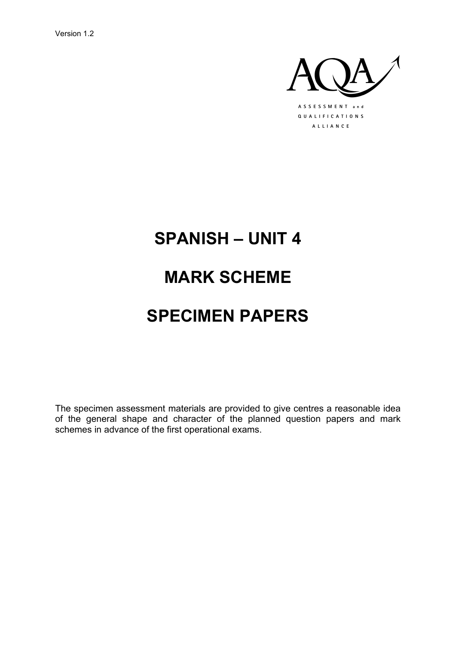Version 1.2



# **SPANISH - UNIT 4**

## **MARK SCHEME**

## **SPECIMEN PAPERS**

The specimen assessment materials are provided to give centres a reasonable idea of the general shape and character of the planned question papers and mark schemes in advance of the first operational exams.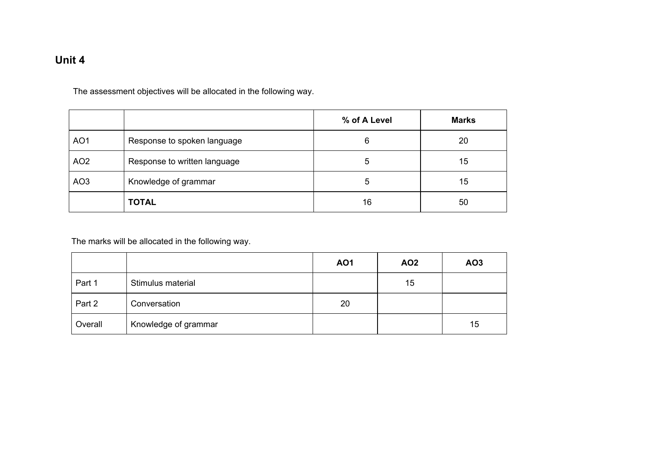### **Unit 4**

The assessment objectives will be allocated in the following way.

|                 |                              | % of A Level | <b>Marks</b> |
|-----------------|------------------------------|--------------|--------------|
| AO <sub>1</sub> | Response to spoken language  | 6            | 20           |
| AO <sub>2</sub> | Response to written language | 5            | 15           |
| AO <sub>3</sub> | Knowledge of grammar         | 5            | 15           |
|                 | <b>TOTAL</b>                 | 16           | 50           |

The marks will be allocated in the following way.

|         |                      | <b>AO1</b> | AO <sub>2</sub> | AO <sub>3</sub> |
|---------|----------------------|------------|-----------------|-----------------|
| Part 1  | Stimulus material    |            | 15              |                 |
| Part 2  | Conversation         | 20         |                 |                 |
| Overall | Knowledge of grammar |            |                 | 15              |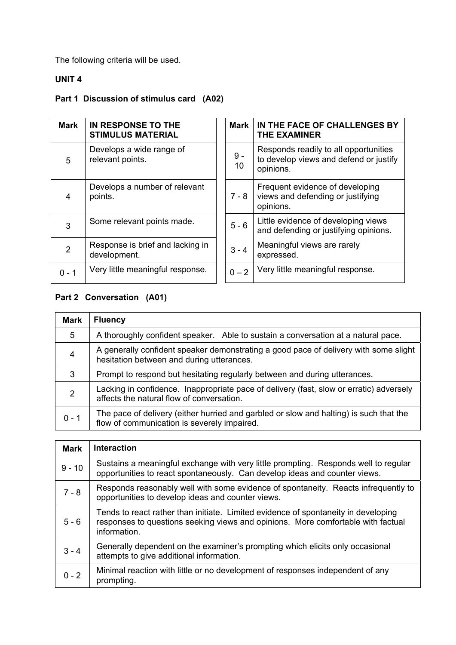The following criteria will be used.

### **UNIT 4**

## **Part 1 Discussion of stimulus card (A02)**

| <b>Mark</b>    | IN RESPONSE TO THE<br><b>STIMULUS MATERIAL</b>   | Mark        | IN THE FACE OF CHALLENGES BY<br><b>THE EXAMINER</b>                                          |
|----------------|--------------------------------------------------|-------------|----------------------------------------------------------------------------------------------|
| 5              | Develops a wide range of<br>relevant points.     | $9 -$<br>10 | Responds readily to all opportunities<br>to develop views and defend or justify<br>opinions. |
| 4              | Develops a number of relevant<br>points.         | $7 - 8$     | Frequent evidence of developing<br>views and defending or justifying<br>opinions.            |
| 3              | Some relevant points made.                       | $5 - 6$     | Little evidence of developing views<br>and defending or justifying opinions.                 |
| $\overline{2}$ | Response is brief and lacking in<br>development. | $3 - 4$     | Meaningful views are rarely<br>expressed.                                                    |
| $0 - 1$        | Very little meaningful response.                 | $0 - 2$     | Very little meaningful response.                                                             |

## **Part 2 Conversation (A01)**

| Mark    | <b>Fluency</b>                                                                                                                        |  |
|---------|---------------------------------------------------------------------------------------------------------------------------------------|--|
| 5       | A thoroughly confident speaker. Able to sustain a conversation at a natural pace.                                                     |  |
| 4       | A generally confident speaker demonstrating a good pace of delivery with some slight<br>hesitation between and during utterances.     |  |
| 3       | Prompt to respond but hesitating regularly between and during utterances.                                                             |  |
| 2       | Lacking in confidence. Inappropriate pace of delivery (fast, slow or erratic) adversely<br>affects the natural flow of conversation.  |  |
| $0 - 1$ | The pace of delivery (either hurried and garbled or slow and halting) is such that the<br>flow of communication is severely impaired. |  |

| <b>Mark</b> | <b>Interaction</b>                                                                                                                                                                     |
|-------------|----------------------------------------------------------------------------------------------------------------------------------------------------------------------------------------|
| $9 - 10$    | Sustains a meaningful exchange with very little prompting. Responds well to regular<br>opportunities to react spontaneously. Can develop ideas and counter views.                      |
| $7 - 8$     | Responds reasonably well with some evidence of spontaneity. Reacts infrequently to<br>opportunities to develop ideas and counter views.                                                |
| $5 - 6$     | Tends to react rather than initiate. Limited evidence of spontaneity in developing<br>responses to questions seeking views and opinions. More comfortable with factual<br>information. |
| $3 - 4$     | Generally dependent on the examiner's prompting which elicits only occasional<br>attempts to give additional information.                                                              |
| $0 - 2$     | Minimal reaction with little or no development of responses independent of any<br>prompting.                                                                                           |